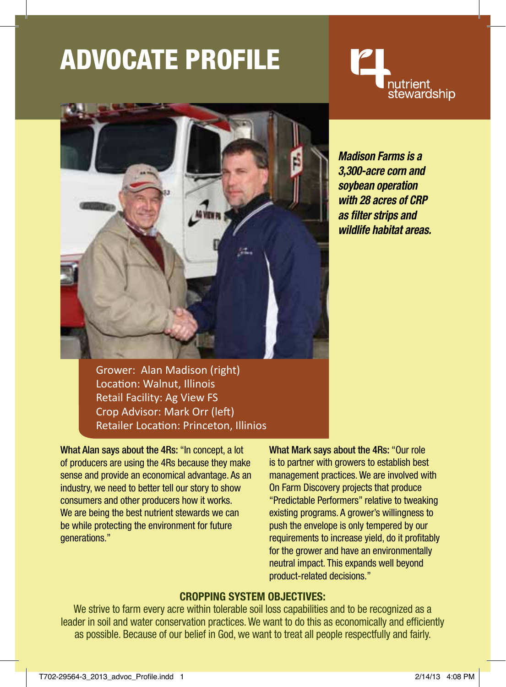# ADVocate Profile





Grower: Alan Madison (right) Location: Walnut, Illinois Retail Facility: Ag View FS Crop Advisor: Mark Orr (left) Retailer Location: Princeton, Illinios

What Alan says about the 4Rs: "In concept, a lot of producers are using the 4Rs because they make sense and provide an economical advantage. As an industry, we need to better tell our story to show consumers and other producers how it works. We are being the best nutrient stewards we can be while protecting the environment for future generations."

What Mark says about the 4Rs: "Our role is to partner with growers to establish best management practices. We are involved with On Farm Discovery projects that produce "Predictable Performers" relative to tweaking existing programs. A grower's willingness to push the envelope is only tempered by our requirements to increase yield, do it profitably for the grower and have an environmentally neutral impact. This expands well beyond product-related decisions."

### **CROPPING SYSTEM OBJECTIVES:**

We strive to farm every acre within tolerable soil loss capabilities and to be recognized as a leader in soil and water conservation practices. We want to do this as economically and efficiently as possible. Because of our belief in God, we want to treat all people respectfully and fairly.

*Madison Farms is a 3,300-acre corn and soybean operation with 28 acres of CRP as filter strips and wildlife habitat areas.*